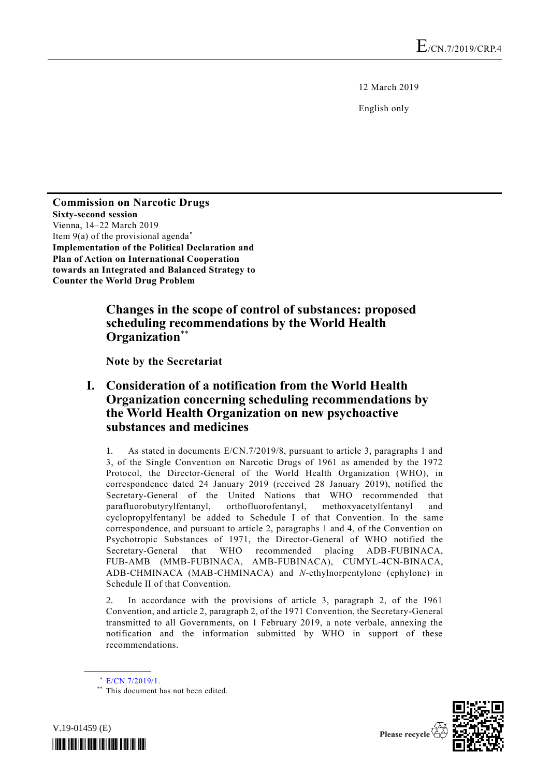12 March 2019

English only

**Commission on Narcotic Drugs Sixty-second session** Vienna, 14–22 March 2019 Item  $9(a)$  of the provisional agenda<sup>\*</sup> **Implementation of the Political Declaration and Plan of Action on International Cooperation towards an Integrated and Balanced Strategy to Counter the World Drug Problem**

## **Changes in the scope of control of substances: proposed scheduling recommendations by the World Health Organization**\*\*

**Note by the Secretariat**

## **I. Consideration of a notification from the World Health Organization concerning scheduling recommendations by the World Health Organization on new psychoactive substances and medicines**

1. As stated in documents E/CN.7/2019/8, pursuant to article 3, paragraphs 1 and 3, of the Single Convention on Narcotic Drugs of 1961 as amended by the 1972 Protocol, the Director-General of the World Health Organization (WHO), in correspondence dated 24 January 2019 (received 28 January 2019), notified the Secretary-General of the United Nations that WHO recommended that parafluorobutyrylfentanyl, orthofluorofentanyl, methoxyacetylfentanyl and cyclopropylfentanyl be added to Schedule I of that Convention. In the same correspondence, and pursuant to article 2, paragraphs 1 and 4, of the Convention on Psychotropic Substances of 1971, the Director-General of WHO notified the Secretary-General that WHO recommended placing ADB-FUBINACA, FUB-AMB (MMB-FUBINACA, AMB-FUBINACA), CUMYL-4CN-BINACA, ADB-CHMINACA (MAB-CHMINACA) and *N*-ethylnorpentylone (ephylone) in Schedule II of that Convention.

2. In accordance with the provisions of article 3, paragraph 2, of the 1961 Convention, and article 2, paragraph 2, of the 1971 Convention, the Secretary-General transmitted to all Governments, on 1 February 2019, a note verbale, annexing the notification and the information submitted by WHO in support of these recommendations.

**\_\_\_\_\_\_\_\_\_\_\_\_\_\_\_\_\_\_**

<sup>\*\*</sup> This document has not been edited.





<sup>\*</sup> [E/CN.7/2019/1.](http://undocs.org/E/CN.7/2019/1)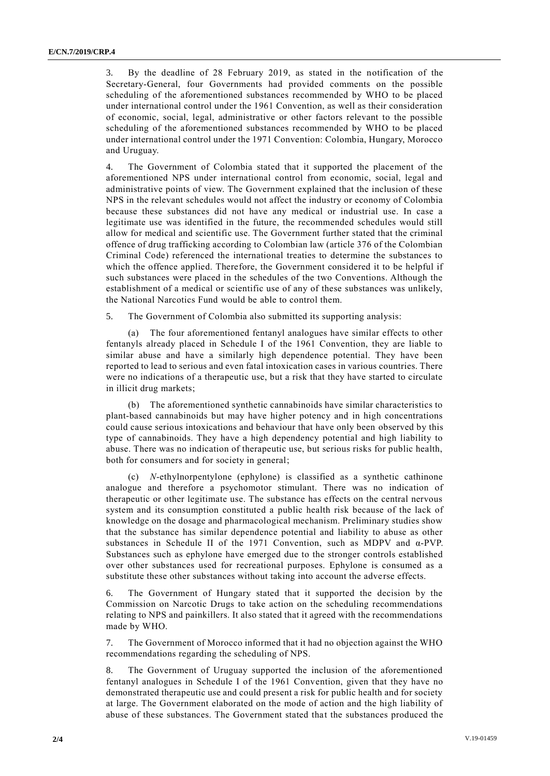3. By the deadline of 28 February 2019, as stated in the notification of the Secretary-General, four Governments had provided comments on the possible scheduling of the aforementioned substances recommended by WHO to be placed under international control under the 1961 Convention, as well as their consideration of economic, social, legal, administrative or other factors relevant to the possible scheduling of the aforementioned substances recommended by WHO to be placed under international control under the 1971 Convention: Colombia, Hungary, Morocco and Uruguay.

4. The Government of Colombia stated that it supported the placement of the aforementioned NPS under international control from economic, social, legal and administrative points of view. The Government explained that the inclusion of these NPS in the relevant schedules would not affect the industry or economy of Colombia because these substances did not have any medical or industrial use. In case a legitimate use was identified in the future, the recommended schedules would still allow for medical and scientific use. The Government further stated that the criminal offence of drug trafficking according to Colombian law (article 376 of the Colombian Criminal Code) referenced the international treaties to determine the substances to which the offence applied. Therefore, the Government considered it to be helpful if such substances were placed in the schedules of the two Conventions. Although the establishment of a medical or scientific use of any of these substances was unlikely, the National Narcotics Fund would be able to control them.

5. The Government of Colombia also submitted its supporting analysis:

(a) The four aforementioned fentanyl analogues have similar effects to other fentanyls already placed in Schedule I of the 1961 Convention, they are liable to similar abuse and have a similarly high dependence potential. They have been reported to lead to serious and even fatal intoxication cases in various countries. There were no indications of a therapeutic use, but a risk that they have started to circulate in illicit drug markets;

(b) The aforementioned synthetic cannabinoids have similar characteristics to plant-based cannabinoids but may have higher potency and in high concentrations could cause serious intoxications and behaviour that have only been observed by this type of cannabinoids. They have a high dependency potential and high liability to abuse. There was no indication of therapeutic use, but serious risks for public health, both for consumers and for society in general;

(c) *N*-ethylnorpentylone (ephylone) is classified as a synthetic cathinone analogue and therefore a psychomotor stimulant. There was no indication of therapeutic or other legitimate use. The substance has effects on the central nervous system and its consumption constituted a public health risk because of the lack of knowledge on the dosage and pharmacological mechanism. Preliminary studies show that the substance has similar dependence potential and liability to abuse as other substances in Schedule II of the 1971 Convention, such as MDPV and α-PVP. Substances such as ephylone have emerged due to the stronger controls established over other substances used for recreational purposes. Ephylone is consumed as a substitute these other substances without taking into account the adverse effects.

6. The Government of Hungary stated that it supported the decision by the Commission on Narcotic Drugs to take action on the scheduling recommendations relating to NPS and painkillers. It also stated that it agreed with the recommendations made by WHO.

7. The Government of Morocco informed that it had no objection against the WHO recommendations regarding the scheduling of NPS.

8. The Government of Uruguay supported the inclusion of the aforementioned fentanyl analogues in Schedule I of the 1961 Convention, given that they have no demonstrated therapeutic use and could present a risk for public health and for society at large. The Government elaborated on the mode of action and the high liability of abuse of these substances. The Government stated that the substances produced the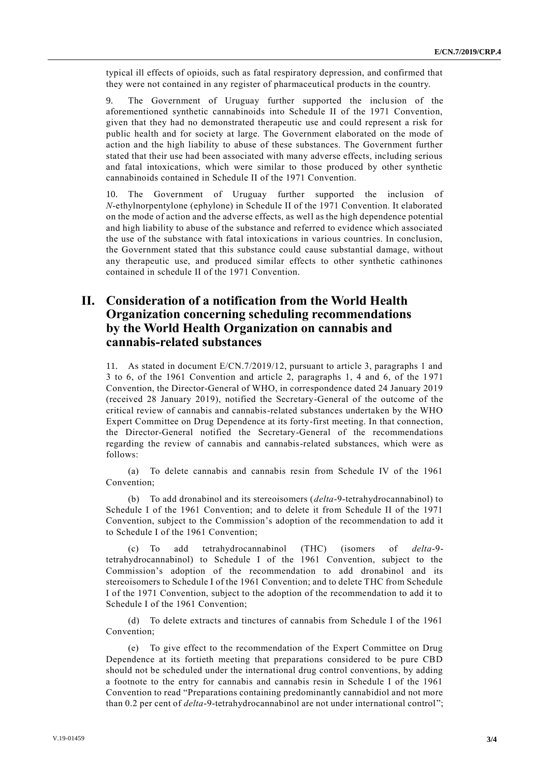typical ill effects of opioids, such as fatal respiratory depression, and confirmed that they were not contained in any register of pharmaceutical products in the country.

9. The Government of Uruguay further supported the inclusion of the aforementioned synthetic cannabinoids into Schedule II of the 1971 Convention, given that they had no demonstrated therapeutic use and could represent a risk for public health and for society at large. The Government elaborated on the mode of action and the high liability to abuse of these substances. The Government further stated that their use had been associated with many adverse effects, including serious and fatal intoxications, which were similar to those produced by other synthetic cannabinoids contained in Schedule II of the 1971 Convention.

10. The Government of Uruguay further supported the inclusion of *N*-ethylnorpentylone (ephylone) in Schedule II of the 1971 Convention. It elaborated on the mode of action and the adverse effects, as well as the high dependence potential and high liability to abuse of the substance and referred to evidence which associated the use of the substance with fatal intoxications in various countries. In conclusion, the Government stated that this substance could cause substantial damage, without any therapeutic use, and produced similar effects to other synthetic cathinones contained in schedule II of the 1971 Convention.

## **II. Consideration of a notification from the World Health Organization concerning scheduling recommendations by the World Health Organization on cannabis and cannabis-related substances**

11. As stated in document E/CN.7/2019/12, pursuant to article 3, paragraphs 1 and  $3$  to 6, of the 1961 Convention and article 2, paragraphs 1, 4 and 6, of the 1971 Convention, the Director-General of WHO, in correspondence dated 24 January 2019 (received 28 January 2019), notified the Secretary-General of the outcome of the critical review of cannabis and cannabis-related substances undertaken by the WHO Expert Committee on Drug Dependence at its forty-first meeting. In that connection, the Director-General notified the Secretary-General of the recommendations regarding the review of cannabis and cannabis-related substances, which were as follows:

(a) To delete cannabis and cannabis resin from Schedule IV of the 1961 Convention;

(b) To add dronabinol and its stereoisomers (*delta*-9-tetrahydrocannabinol) to Schedule I of the 1961 Convention; and to delete it from Schedule II of the 1971 Convention, subject to the Commission's adoption of the recommendation to add it to Schedule I of the 1961 Convention;

(c) To add tetrahydrocannabinol (THC) (isomers of *delta*-9 tetrahydrocannabinol) to Schedule I of the 1961 Convention, subject to the Commission's adoption of the recommendation to add dronabinol and its stereoisomers to Schedule I of the 1961 Convention; and to delete THC from Schedule I of the 1971 Convention, subject to the adoption of the recommendation to add it to Schedule I of the 1961 Convention;

(d) To delete extracts and tinctures of cannabis from Schedule I of the 1961 Convention;

(e) To give effect to the recommendation of the Expert Committee on Drug Dependence at its fortieth meeting that preparations considered to be pure CBD should not be scheduled under the international drug control conventions, by adding a footnote to the entry for cannabis and cannabis resin in Schedule I of the 1961 Convention to read "Preparations containing predominantly cannabidiol and not more than 0.2 per cent of *delta*-9-tetrahydrocannabinol are not under international control";